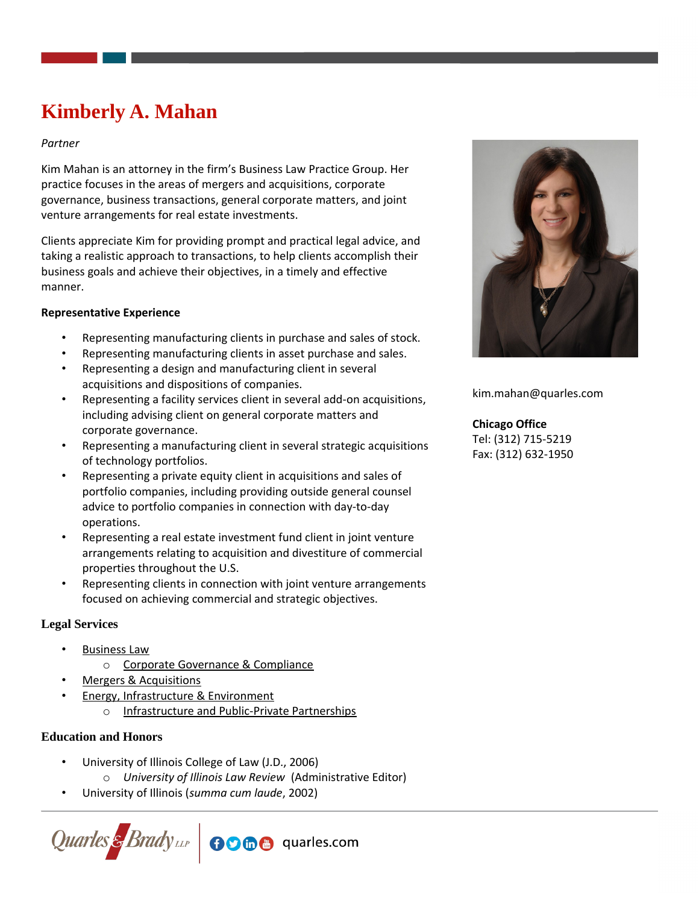# **Kimberly A. Mahan**

### *Partner*

Kim Mahan is an attorney in the firm's Business Law Practice Group. Her practice focuses in the areas of mergers and acquisitions, corporate governance, business transactions, general corporate matters, and joint venture arrangements for real estate investments.

Clients appreciate Kim for providing prompt and practical legal advice, and taking a realistic approach to transactions, to help clients accomplish their business goals and achieve their objectives, in a timely and effective manner.

### **Representative Experience**

- Representing manufacturing clients in purchase and sales of stock.
- Representing manufacturing clients in asset purchase and sales.
- Representing a design and manufacturing client in several acquisitions and dispositions of companies.
- Representing a facility services client in several add-on acquisitions, including advising client on general corporate matters and corporate governance.
- Representing a manufacturing client in several strategic acquisitions of technology portfolios.
- Representing a private equity client in acquisitions and sales of portfolio companies, including providing outside general counsel advice to portfolio companies in connection with day-to-day operations.
- Representing a real estate investment fund client in joint venture arrangements relating to acquisition and divestiture of commercial properties throughout the U.S.
- Representing clients in connection with joint venture arrangements focused on achieving commercial and strategic objectives.

# **Legal Services**

- [Business Law](https://www.quarles.com/business-law/)
	- o [Corporate Governance & Compliance](https://www.quarles.com/business-law/services-2/corporate-governance-compliance/)
- [Mergers & Acquisitions](https://www.quarles.com/mergers-acquisitions/)
- **[Energy, Infrastructure & Environment](https://www.quarles.com/energy-infrastructure-environment/)** 
	- o [Infrastructure and Public-Private Partnerships](https://www.quarles.com/energy-infrastructure-environment/services-2/infrastructure-and-public-private-partnerships/)

# **Education and Honors**

- University of Illinois College of Law (J.D., 2006)
	- o *University of Illinois Law Review* (Administrative Editor)
- University of Illinois (*summa cum laude*, 2002)





kim.mahan@quarles.com

## **Chicago Office**

Tel: (312) 715-5219 Fax: (312) 632-1950